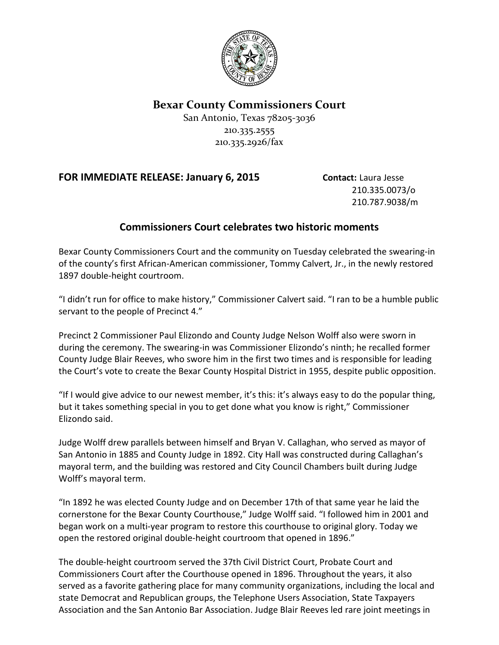

**Bexar County Commissioners Court**

San Antonio, Texas 78205-3036 210.335.2555 210.335.2926/fax

## **FOR IMMEDIATE RELEASE: January 6, 2015 <b>Contact: Laura Jesse**

210.335.0073/o 210.787.9038/m

## **Commissioners Court celebrates two historic moments**

Bexar County Commissioners Court and the community on Tuesday celebrated the swearing-in of the county's first African-American commissioner, Tommy Calvert, Jr., in the newly restored 1897 double-height courtroom.

"I didn't run for office to make history," Commissioner Calvert said. "I ran to be a humble public servant to the people of Precinct 4."

Precinct 2 Commissioner Paul Elizondo and County Judge Nelson Wolff also were sworn in during the ceremony. The swearing-in was Commissioner Elizondo's ninth; he recalled former County Judge Blair Reeves, who swore him in the first two times and is responsible for leading the Court's vote to create the Bexar County Hospital District in 1955, despite public opposition.

"If I would give advice to our newest member, it's this: it's always easy to do the popular thing, but it takes something special in you to get done what you know is right," Commissioner Elizondo said.

Judge Wolff drew parallels between himself and Bryan V. Callaghan, who served as mayor of San Antonio in 1885 and County Judge in 1892. City Hall was constructed during Callaghan's mayoral term, and the building was restored and City Council Chambers built during Judge Wolff's mayoral term.

"In 1892 he was elected County Judge and on December 17th of that same year he laid the cornerstone for the Bexar County Courthouse," Judge Wolff said. "I followed him in 2001 and began work on a multi-year program to restore this courthouse to original glory. Today we open the restored original double-height courtroom that opened in 1896."

The double-height courtroom served the 37th Civil District Court, Probate Court and Commissioners Court after the Courthouse opened in 1896. Throughout the years, it also served as a favorite gathering place for many community organizations, including the local and state Democrat and Republican groups, the Telephone Users Association, State Taxpayers Association and the San Antonio Bar Association. Judge Blair Reeves led rare joint meetings in